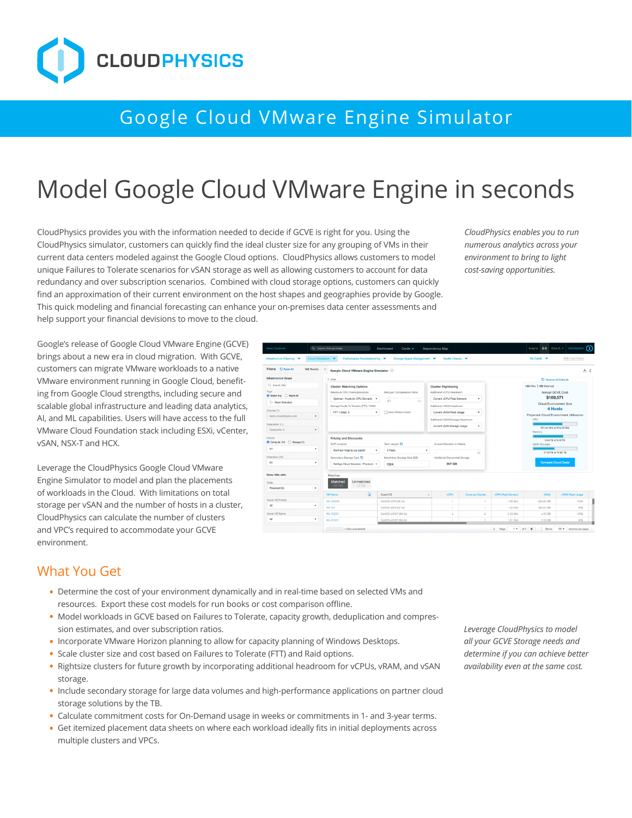

## Google Cloud VMware Engine Simulator

# Model Google Cloud VMware Engine in seconds

CloudPhysics provides you with the information needed to decide if GCVE is right for you. Using the CloudPhysics simulator, customers can quickly find the ideal cluster size for any grouping of VMs in their current data centers modeled against the Google Cloud options. CloudPhysics allows customers to model unique Failures to Tolerate scenarios for vSAN storage as well as allowing customers to account for data redundancy and over subscription scenarios. Combined with cloud storage options, customers can quickly find an approximation of their current environment on the host shapes and geographies provide by Google. This quick modeling and financial forecasting can enhance your on-premises data center assessments and help support your financial devisions to move to the cloud.

*CloudPhysics enables you to run numerous analytics across your environment to bring to light cost-saving opportunities.* 

Google's release of Google Cloud VMware Engine (GCVE) brings about a new era in cloud migration. With GCVE, customers can migrate VMware workloads to a native VMware environment running in Google Cloud, benefiting from Google Cloud strengths, including secure and scalable global infrastructure and leading data analytics, AI, and ML capabilities. Users will have access to the full VMware Cloud Foundation stack including ESXi, vCenter, vSAN, NSX-T and HCX.

Leverage the CloudPhysics Google Cloud VMware Engine Simulator to model and plan the placements of workloads in the Cloud. With limitations on total storage per vSAN and the number of hosts in a cluster, CloudPhysics can calculate the number of clusters and VPC's required to accommodate your GCVE environment.



#### What You Get

- **•** Determine the cost of your environment dynamically and in real-time based on selected VMs and resources. Export these cost models for run books or cost comparison offline.
- **•** Model workloads in GCVE based on Failures to Tolerate, capacity growth, deduplication and compression estimates, and over subscription ratios.
- **•** Incorporate VMware Horizon planning to allow for capacity planning of Windows Desktops.
- **•** Scale cluster size and cost based on Failures to Tolerate (FTT) and Raid options.
- Rightsize clusters for future growth by incorporating additional headroom for vCPUs, vRAM, and vSAN storage.
- **•** Include secondary storage for large data volumes and high-performance applications on partner cloud storage solutions by the TB.
- **•** Calculate commitment costs for On-Demand usage in weeks or commitments in 1- and 3-year terms.
- **•** Get itemized placement data sheets on where each workload ideally fits in initial deployments across multiple clusters and VPCs.

*Leverage CloudPhysics to model all your GCVE Storage needs and determine if you can achieve better availability even at the same cost.*